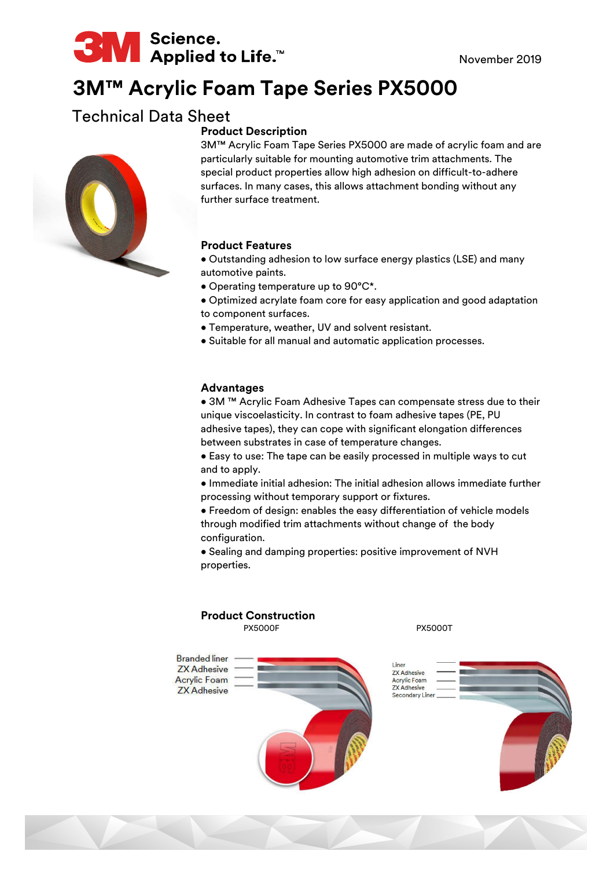

# **3M™ Acrylic Foam Tape Series PX5000**

## Technical Data Sheet

### **Product Description**

3M™ Acrylic Foam Tape Series PX5000 are made of acrylic foam and are particularly suitable for mounting automotive trim attachments. The special product properties allow high adhesion on difficult-to-adhere surfaces. In many cases, this allows attachment bonding without any further surface treatment.

#### **Product Features**

- Outstanding adhesion to low surface energy plastics (LSE) and many automotive paints.
- Operating temperature up to 90°C\*.
- Optimized acrylate foam core for easy application and good adaptation to component surfaces.
- Temperature, weather, UV and solvent resistant.
- Suitable for all manual and automatic application processes.

#### **Advantages**

• 3M ™ Acrylic Foam Adhesive Tapes can compensate stress due to their unique viscoelasticity. In contrast to foam adhesive tapes (PE, PU adhesive tapes), they can cope with significant elongation differences between substrates in case of temperature changes.

• Easy to use: The tape can be easily processed in multiple ways to cut and to apply.

• Immediate initial adhesion: The initial adhesion allows immediate further processing without temporary support or fixtures.

• Freedom of design: enables the easy differentiation of vehicle models through modified trim attachments without change of the body configuration.

• Sealing and damping properties: positive improvement of NVH properties.

#### PX5000F PX5000T **Product Construction**